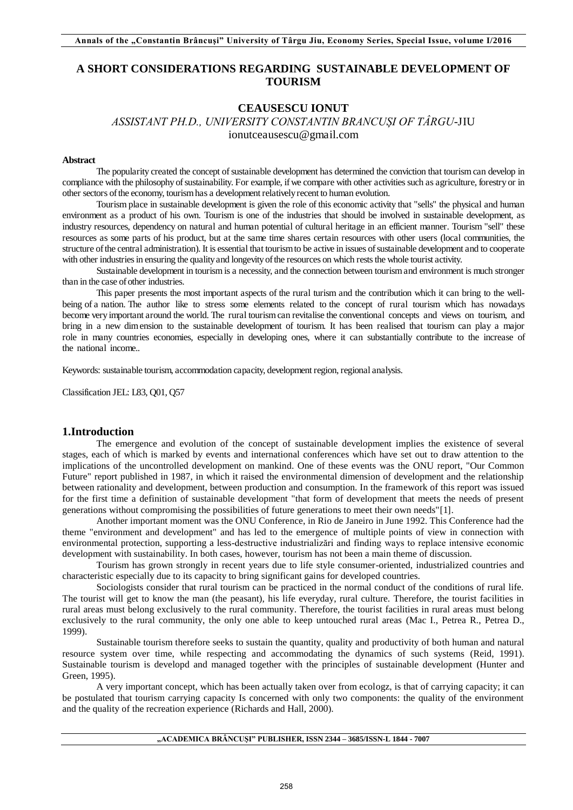# **A SHORT CONSIDERATIONS REGARDING SUSTAINABLE DEVELOPMENT OF TOURISM**

## **CEAUSESCU IONUT**

*ASSISTANT PH.D., UNIVERSITY CONSTANTIN BRANCUȘI OF TÂRGU*-JIU ionutceausescu@gmail.com

#### **Abstract**

The popularity created the concept of sustainable development has determined the conviction that tourism can develop in compliance with the philosophy of sustainability. For example, if we compare with other activities such as agriculture, forestry or in other sectors of the economy, tourism has a development relatively recent to human evolution.

Tourism place in sustainable development is given the role of this economic activity that "sells" the physical and human environment as a product of his own. Tourism is one of the industries that should be involved in sustainable development, as industry resources, dependency on natural and human potential of cultural heritage in an efficient manner. Tourism "sell" these resources as some parts of his product, but at the same time shares certain resources with other users (local communities, the structure of the central administration). It is essential that tourism to be active in issues of sustainable development and to cooperate with other industries in ensuring the quality and longevity of the resources on which rests the whole tourist activity.

Sustainable development in tourism is a necessity, and the connection between tourism and environment is much stronger than in the case of other industries.

This paper presents the most important aspects of the rural turism and the contribution which it can bring to the wellbeing of a nation. The author like to stress some elements related to the concept of rural tourism which has nowadays become very important around the world. The rural tourism can revitalise the conventional concepts and views on tourism, and bring in a new dim ension to the sustainable development of tourism. It has been realised that tourism can play a major role in many countries economies, especially in developing ones, where it can substantially contribute to the increase of the national income..

Keywords: sustainable tourism, accommodation capacity, development region, regional analysis.

Classification JEL: L83, Q01, Q57

## **1.Introduction**

The emergence and evolution of the concept of sustainable development implies the existence of several stages, each of which is marked by events and international conferences which have set out to draw attention to the implications of the uncontrolled development on mankind. One of these events was the ONU report, "Our Common Future" report published in 1987, in which it raised the environmental dimension of development and the relationship between rationality and development, between production and consumption. In the framework of this report was issued for the first time a definition of sustainable development "that form of development that meets the needs of present generations without compromising the possibilities of future generations to meet their own needs"[1].

Another important moment was the ONU Conference, in Rio de Janeiro in June 1992. This Conference had the theme "environment and development" and has led to the emergence of multiple points of view in connection with environmental protection, supporting a less-destructive industrializări and finding ways to replace intensive economic development with sustainability. In both cases, however, tourism has not been a main theme of discussion.

Tourism has grown strongly in recent years due to life style consumer-oriented, industrialized countries and characteristic especially due to its capacity to bring significant gains for developed countries.

Sociologists consider that rural tourism can be practiced in the normal conduct of the conditions of rural life. The tourist will get to know the man (the peasant), his life everyday, rural culture. Therefore, the tourist facilities in rural areas must belong exclusively to the rural community. Therefore, the tourist facilities in rural areas must belong exclusively to the rural community, the only one able to keep untouched rural areas (Mac I., Petrea R., Petrea D., 1999).

Sustainable tourism therefore seeks to sustain the quantity, quality and productivity of both human and natural resource system over time, while respecting and accommodating the dynamics of such systems (Reid, 1991). Sustainable tourism is developd and managed together with the principles of sustainable development (Hunter and Green, 1995).

A very important concept, which has been actually taken over from ecologz, is that of carrying capacity; it can be postulated that tourism carrying capacity Is concerned with only two components: the quality of the environment and the quality of the recreation experience (Richards and Hall, 2000).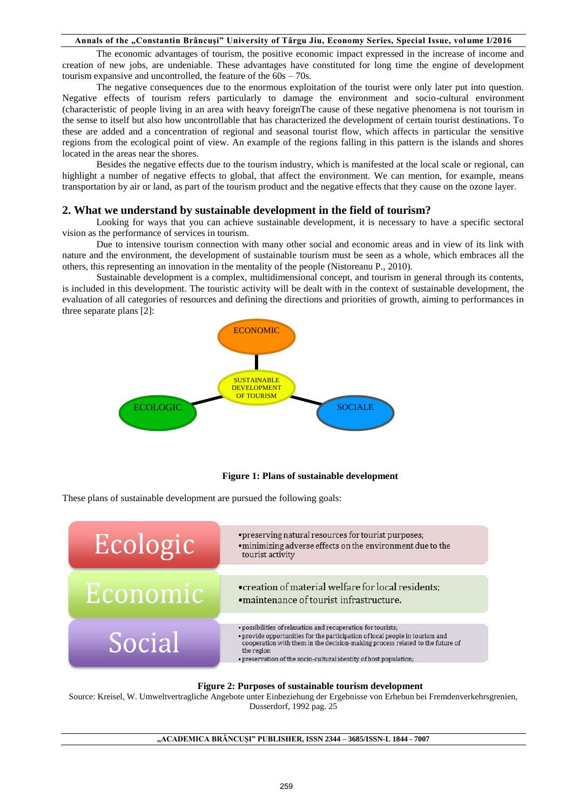The economic advantages of tourism, the positive economic impact expressed in the increase of income and creation of new jobs, are undeniable. These advantages have constituted for long time the engine of development tourism expansive and uncontrolled, the feature of the 60s – 70s.

The negative consequences due to the enormous exploitation of the tourist were only later put into question. Negative effects of tourism refers particularly to damage the environment and socio-cultural environment (characteristic of people living in an area with heavy foreignThe cause of these negative phenomena is not tourism in the sense to itself but also how uncontrollable that has characterized the development of certain tourist destinations. To these are added and a concentration of regional and seasonal tourist flow, which affects in particular the sensitive regions from the ecological point of view. An example of the regions falling in this pattern is the islands and shores located in the areas near the shores.

Besides the negative effects due to the tourism industry, which is manifested at the local scale or regional, can highlight a number of negative effects to global, that affect the environment. We can mention, for example, means transportation by air or land, as part of the tourism product and the negative effects that they cause on the ozone layer.

## **2. What we understand by sustainable development in the field of tourism?**

Looking for ways that you can achieve sustainable development, it is necessary to have a specific sectoral vision as the performance of services in tourism.

Due to intensive tourism connection with many other social and economic areas and in view of its link with nature and the environment, the development of sustainable tourism must be seen as a whole, which embraces all the others, this representing an innovation in the mentality of the people (Nistoreanu P., 2010).

Sustainable development is a complex, multidimensional concept, and tourism in general through its contents, is included in this development. The touristic activity will be dealt with in the context of sustainable development, the evaluation of all categories of resources and defining the directions and priorities of growth, aiming to performances in three separate plans [2]:



#### **Figure 1: Plans of sustainable development**

These plans of sustainable development are pursued the following goals:



## **Figure 2: Purposes of sustainable tourism development**

Source: Kreisel, W. Umweltvertragliche Angebote unter Einbeziehung der Ergebnisse von Erhebun bei Fremdenverkehrsgrenien, Dusserdorf, 1992 pag. 25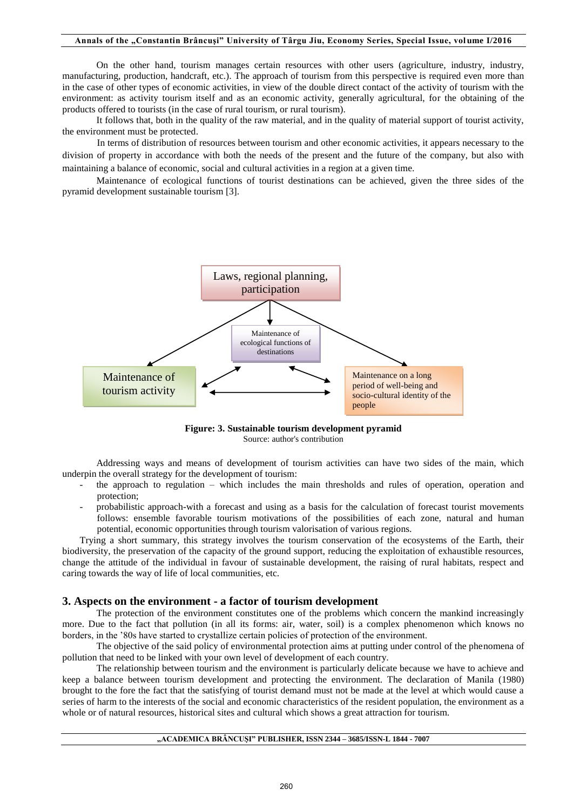On the other hand, tourism manages certain resources with other users (agriculture, industry, industry, manufacturing, production, handcraft, etc.). The approach of tourism from this perspective is required even more than in the case of other types of economic activities, in view of the double direct contact of the activity of tourism with the environment: as activity tourism itself and as an economic activity, generally agricultural, for the obtaining of the products offered to tourists (in the case of rural tourism, or rural tourism).

It follows that, both in the quality of the raw material, and in the quality of material support of tourist activity, the environment must be protected.

In terms of distribution of resources between tourism and other economic activities, it appears necessary to the division of property in accordance with both the needs of the present and the future of the company, but also with maintaining a balance of economic, social and cultural activities in a region at a given time.

Maintenance of ecological functions of tourist destinations can be achieved, given the three sides of the pyramid development sustainable tourism [3].



**Figure: 3. Sustainable tourism development pyramid**  Source: author's contribution

Addressing ways and means of development of tourism activities can have two sides of the main, which underpin the overall strategy for the development of tourism:

- the approach to regulation which includes the main thresholds and rules of operation, operation and protection;
- probabilistic approach-with a forecast and using as a basis for the calculation of forecast tourist movements follows: ensemble favorable tourism motivations of the possibilities of each zone, natural and human potential, economic opportunities through tourism valorisation of various regions.

Trying a short summary, this strategy involves the tourism conservation of the ecosystems of the Earth, their biodiversity, the preservation of the capacity of the ground support, reducing the exploitation of exhaustible resources, change the attitude of the individual in favour of sustainable development, the raising of rural habitats, respect and caring towards the way of life of local communities, etc.

## **3. Aspects on the environment - a factor of tourism development**

The protection of the environment constitutes one of the problems which concern the mankind increasingly more. Due to the fact that pollution (in all its forms: air, water, soil) is a complex phenomenon which knows no borders, in the '80s have started to crystallize certain policies of protection of the environment.

The objective of the said policy of environmental protection aims at putting under control of the phenomena of pollution that need to be linked with your own level of development of each country.

The relationship between tourism and the environment is particularly delicate because we have to achieve and keep a balance between tourism development and protecting the environment. The declaration of Manila (1980) brought to the fore the fact that the satisfying of tourist demand must not be made at the level at which would cause a series of harm to the interests of the social and economic characteristics of the resident population, the environment as a whole or of natural resources, historical sites and cultural which shows a great attraction for tourism.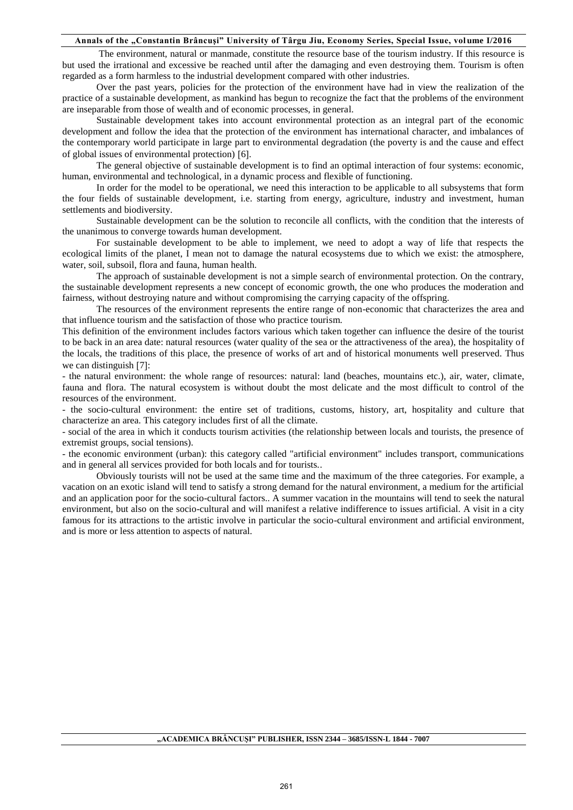The environment, natural or manmade, constitute the resource base of the tourism industry. If this resource is but used the irrational and excessive be reached until after the damaging and even destroying them. Tourism is often regarded as a form harmless to the industrial development compared with other industries.

Over the past years, policies for the protection of the environment have had in view the realization of the practice of a sustainable development, as mankind has begun to recognize the fact that the problems of the environment are inseparable from those of wealth and of economic processes, in general.

Sustainable development takes into account environmental protection as an integral part of the economic development and follow the idea that the protection of the environment has international character, and imbalances of the contemporary world participate in large part to environmental degradation (the poverty is and the cause and effect of global issues of environmental protection) [6].

The general objective of sustainable development is to find an optimal interaction of four systems: economic, human, environmental and technological, in a dynamic process and flexible of functioning.

In order for the model to be operational, we need this interaction to be applicable to all subsystems that form the four fields of sustainable development, i.e. starting from energy, agriculture, industry and investment, human settlements and biodiversity.

Sustainable development can be the solution to reconcile all conflicts, with the condition that the interests of the unanimous to converge towards human development.

For sustainable development to be able to implement, we need to adopt a way of life that respects the ecological limits of the planet, I mean not to damage the natural ecosystems due to which we exist: the atmosphere, water, soil, subsoil, flora and fauna, human health.

The approach of sustainable development is not a simple search of environmental protection. On the contrary, the sustainable development represents a new concept of economic growth, the one who produces the moderation and fairness, without destroying nature and without compromising the carrying capacity of the offspring.

The resources of the environment represents the entire range of non-economic that characterizes the area and that influence tourism and the satisfaction of those who practice tourism.

This definition of the environment includes factors various which taken together can influence the desire of the tourist to be back in an area date: natural resources (water quality of the sea or the attractiveness of the area), the hospitality of the locals, the traditions of this place, the presence of works of art and of historical monuments well preserved. Thus we can distinguish  $[7]$ :

- the natural environment: the whole range of resources: natural: land (beaches, mountains etc.), air, water, climate, fauna and flora. The natural ecosystem is without doubt the most delicate and the most difficult to control of the resources of the environment.

- the socio-cultural environment: the entire set of traditions, customs, history, art, hospitality and culture that characterize an area. This category includes first of all the climate.

- social of the area in which it conducts tourism activities (the relationship between locals and tourists, the presence of extremist groups, social tensions).

- the economic environment (urban): this category called "artificial environment" includes transport, communications and in general all services provided for both locals and for tourists..

Obviously tourists will not be used at the same time and the maximum of the three categories. For example, a vacation on an exotic island will tend to satisfy a strong demand for the natural environment, a medium for the artificial and an application poor for the socio-cultural factors.. A summer vacation in the mountains will tend to seek the natural environment, but also on the socio-cultural and will manifest a relative indifference to issues artificial. A visit in a city famous for its attractions to the artistic involve in particular the socio-cultural environment and artificial environment, and is more or less attention to aspects of natural.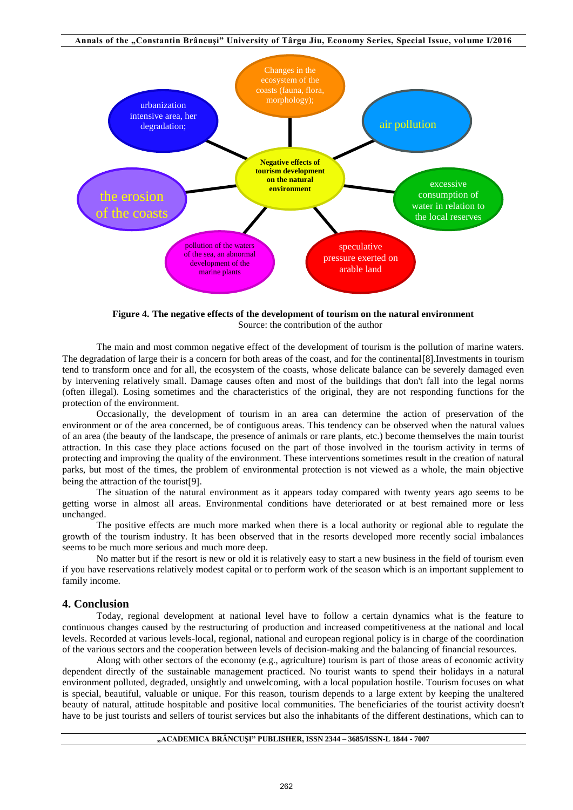

**Figure 4. The negative effects of the development of tourism on the natural environment**  Source: the contribution of the author

The main and most common negative effect of the development of tourism is the pollution of marine waters. The degradation of large their is a concern for both areas of the coast, and for the continental [8]. Investments in tourism tend to transform once and for all, the ecosystem of the coasts, whose delicate balance can be severely damaged even by intervening relatively small. Damage causes often and most of the buildings that don't fall into the legal norms (often illegal). Losing sometimes and the characteristics of the original, they are not responding functions for the protection of the environment.

Occasionally, the development of tourism in an area can determine the action of preservation of the environment or of the area concerned, be of contiguous areas. This tendency can be observed when the natural values of an area (the beauty of the landscape, the presence of animals or rare plants, etc.) become themselves the main tourist attraction. In this case they place actions focused on the part of those involved in the tourism activity in terms of protecting and improving the quality of the environment. These interventions sometimes result in the creation of natural parks, but most of the times, the problem of environmental protection is not viewed as a whole, the main objective being the attraction of the tourist[9].

The situation of the natural environment as it appears today compared with twenty years ago seems to be getting worse in almost all areas. Environmental conditions have deteriorated or at best remained more or less unchanged.

The positive effects are much more marked when there is a local authority or regional able to regulate the growth of the tourism industry. It has been observed that in the resorts developed more recently social imbalances seems to be much more serious and much more deep.

No matter but if the resort is new or old it is relatively easy to start a new business in the field of tourism even if you have reservations relatively modest capital or to perform work of the season which is an important supplement to family income.

## **4. Conclusion**

Today, regional development at national level have to follow a certain dynamics what is the feature to continuous changes caused by the restructuring of production and increased competitiveness at the national and local levels. Recorded at various levels-local, regional, national and european regional policy is in charge of the coordination of the various sectors and the cooperation between levels of decision-making and the balancing of financial resources.

Along with other sectors of the economy (e.g., agriculture) tourism is part of those areas of economic activity dependent directly of the sustainable management practiced. No tourist wants to spend their holidays in a natural environment polluted, degraded, unsightly and unwelcoming, with a local population hostile. Tourism focuses on what is special, beautiful, valuable or unique. For this reason, tourism depends to a large extent by keeping the unaltered beauty of natural, attitude hospitable and positive local communities. The beneficiaries of the tourist activity doesn't have to be just tourists and sellers of tourist services but also the inhabitants of the different destinations, which can to